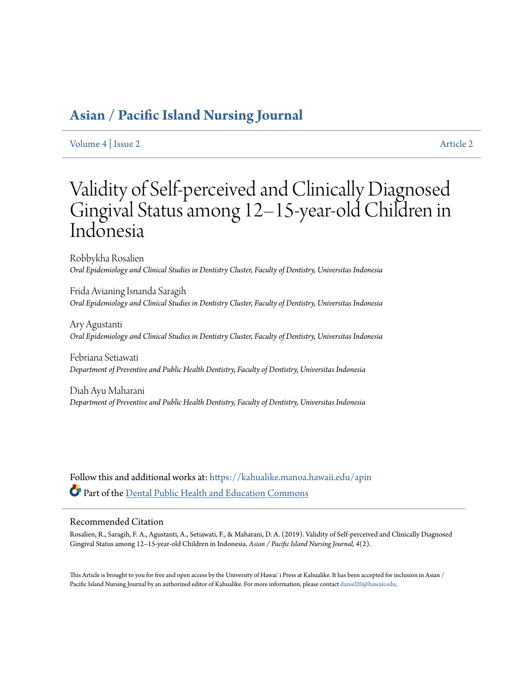# **[Asian / Pacific Island Nursing Journal](https://kahualike.manoa.hawaii.edu/apin?utm_source=kahualike.manoa.hawaii.edu%2Fapin%2Fvol4%2Fiss2%2F2&utm_medium=PDF&utm_campaign=PDFCoverPages)**

[Volume 4](https://kahualike.manoa.hawaii.edu/apin/vol4?utm_source=kahualike.manoa.hawaii.edu%2Fapin%2Fvol4%2Fiss2%2F2&utm_medium=PDF&utm_campaign=PDFCoverPages) | [Issue 2](https://kahualike.manoa.hawaii.edu/apin/vol4/iss2?utm_source=kahualike.manoa.hawaii.edu%2Fapin%2Fvol4%2Fiss2%2F2&utm_medium=PDF&utm_campaign=PDFCoverPages) [Article 2](https://kahualike.manoa.hawaii.edu/apin/vol4/iss2/2?utm_source=kahualike.manoa.hawaii.edu%2Fapin%2Fvol4%2Fiss2%2F2&utm_medium=PDF&utm_campaign=PDFCoverPages)

# Validity of Self-perceived and Clinically Diagnosed Gingival Status among 12–15-year-old Children in Indonesia

Robbykha Rosalien *Oral Epidemiology and Clinical Studies in Dentistry Cluster, Faculty of Dentistry, Universitas Indonesia*

Frida Avianing Isnanda Saragih *Oral Epidemiology and Clinical Studies in Dentistry Cluster, Faculty of Dentistry, Universitas Indonesia*

Ary Agustanti *Oral Epidemiology and Clinical Studies in Dentistry Cluster, Faculty of Dentistry, Universitas Indonesia*

Febriana Setiawati *Department of Preventive and Public Health Dentistry, Faculty of Dentistry, Universitas Indonesia*

Diah Ayu Maharani *Department of Preventive and Public Health Dentistry, Faculty of Dentistry, Universitas Indonesia*

Follow this and additional works at: [https://kahualike.manoa.hawaii.edu/apin](https://kahualike.manoa.hawaii.edu/apin?utm_source=kahualike.manoa.hawaii.edu%2Fapin%2Fvol4%2Fiss2%2F2&utm_medium=PDF&utm_campaign=PDFCoverPages) Part of the [Dental Public Health and Education Commons](http://network.bepress.com/hgg/discipline/653?utm_source=kahualike.manoa.hawaii.edu%2Fapin%2Fvol4%2Fiss2%2F2&utm_medium=PDF&utm_campaign=PDFCoverPages)

# Recommended Citation

Rosalien, R., Saragih, F. A., Agustanti, A., Setiawati, F., & Maharani, D. A. (2019). Validity of Self-perceived and Clinically Diagnosed Gingival Status among 12–15-year-old Children in Indonesia. *Asian / Pacific Island Nursing Journal, 4*(2).

This Article is brought to you for free and open access by the University of Hawai`i Press at Kahualike. It has been accepted for inclusion in Asian / Pacific Island Nursing Journal by an authorized editor of Kahualike. For more information, please contact [daniel20@hawaii.edu](mailto:daniel20@hawaii.edu).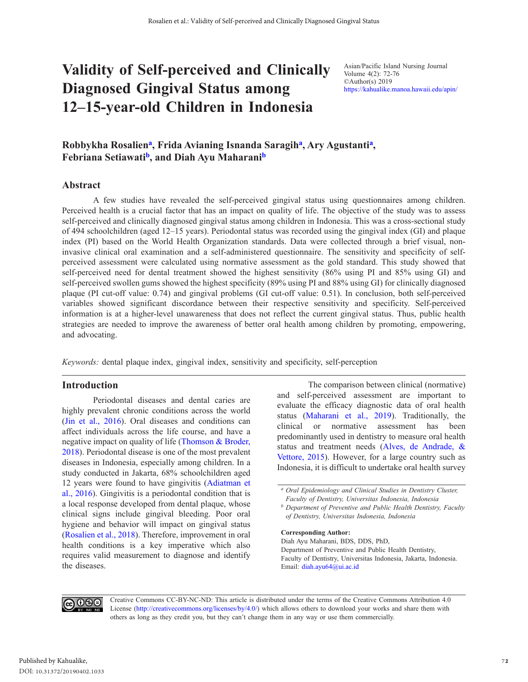# **Validity of Self-perceived and Clinically Diagnosed Gingival Status among 12–15-year-old Children in Indonesia**

Asian/Pacific Island Nursing Journal Volume 4(2): 72-76 ©Author(s) 2019 https://kahualike.manoa.hawaii.edu/apin/

# Robbykha Rosalien<sup>a</sup>, Frida Avianing Isnanda Saragih<sup>a</sup>, Ary Agustanti<sup>a</sup>, **Febriana Setiawatib, and Diah Ayu Maharanib**

# **Abstract**

A few studies have revealed the self-perceived gingival status using questionnaires among children. Perceived health is a crucial factor that has an impact on quality of life. The objective of the study was to assess self-perceived and clinically diagnosed gingival status among children in Indonesia. This was a cross-sectional study of 494 schoolchildren (aged 12–15 years). Periodontal status was recorded using the gingival index (GI) and plaque index (PI) based on the World Health Organization standards. Data were collected through a brief visual, noninvasive clinical oral examination and a self-administered questionnaire. The sensitivity and specificity of selfperceived assessment were calculated using normative assessment as the gold standard. This study showed that self-perceived need for dental treatment showed the highest sensitivity (86% using PI and 85% using GI) and self-perceived swollen gums showed the highest specificity (89% using PI and 88% using GI) for clinically diagnosed plaque (PI cut-off value: 0.74) and gingival problems (GI cut-off value: 0.51). In conclusion, both self-perceived variables showed significant discordance between their respective sensitivity and specificity. Self-perceived information is at a higher-level unawareness that does not reflect the current gingival status. Thus, public health strategies are needed to improve the awareness of better oral health among children by promoting, empowering, and advocating.

*Keywords:* dental plaque index, gingival index, sensitivity and specificity, self-perception

### **Introduction**

Periodontal diseases and dental caries are highly prevalent chronic conditions across the world [\(Jin et al., 2016\)](#page-4-0). Oral diseases and conditions can affect individuals across the life course, and have a negative impact on quality of life [\(Thomson & Broder,](#page-5-0)  [2018\)](#page-5-0). Periodontal disease is one of the most prevalent diseases in Indonesia, especially among children. In a study conducted in Jakarta, 68% schoolchildren aged 12 years were found to have gingivitis [\(Adiatman et](#page-4-0)  [al., 2016\)](#page-4-0). Gingivitis is a periodontal condition that is a local response developed from dental plaque, whose clinical signs include gingival bleeding. Poor oral hygiene and behavior will impact on gingival status [\(Rosalien et al., 2018](#page-5-0)). Therefore, improvement in oral health conditions is a key imperative which also requires valid measurement to diagnose and identify the diseases.

The comparison between clinical (normative) and self-perceived assessment are important to evaluate the efficacy diagnostic data of oral health status ([Maharani et al., 2019](#page-4-0)). Traditionally, the clinical or normative assessment has been predominantly used in dentistry to measure oral health status and treatment needs [\(Alves, de Andrade, &](#page-4-0)  [Vettore, 2015\)](#page-4-0). However, for a large country such as Indonesia, it is difficult to undertake oral health survey

**Corresponding Author:**

Diah Ayu Maharani, BDS, DDS, PhD, Department of Preventive and Public Health Dentistry, Faculty of Dentistry, Universitas Indonesia, Jakarta, Indonesia. Email: [diah.ayu64@ui.ac.id](mailto:diah.ayu64@ui.ac.id)



Creative Commons CC-BY-NC-ND: This article is distributed under the terms of the Creative Commons Attribution 4.0 License (http://creativecommons.org/licenses/by/4.0/) which allows others to download your works and share them with others as long as they credit you, but they can't change them in any way or use them commercially.

*<sup>a</sup> Oral Epidemiology and Clinical Studies in Dentistry Cluster, Faculty of Dentistry, Universitas Indonesia, Indonesia*

*<sup>b</sup> Department of Preventive and Public Health Dentistry, Faculty of Dentistry, Universitas Indonesia, Indonesia*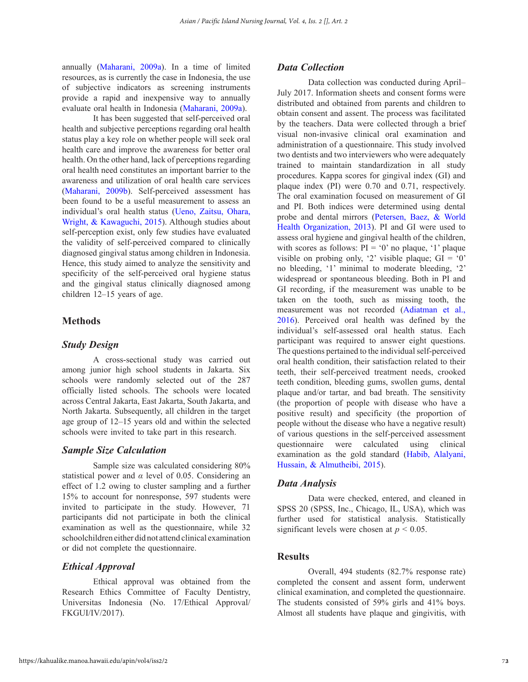annually [\(Maharani, 2009a\)](#page-4-0). In a time of limited resources, as is currently the case in Indonesia, the use of subjective indicators as screening instruments provide a rapid and inexpensive way to annually evaluate oral health in Indonesia [\(Maharani, 2009a\)](#page-4-0).

It has been suggested that self-perceived oral health and subjective perceptions regarding oral health status play a key role on whether people will seek oral health care and improve the awareness for better oral health. On the other hand, lack of perceptions regarding oral health need constitutes an important barrier to the awareness and utilization of oral health care services [\(Maharani, 2009b\)](#page-4-0). Self-perceived assessment has been found to be a useful measurement to assess an individual's oral health status [\(Ueno, Zaitsu, Ohara,](#page-5-0)  [Wright, & Kawaguchi, 2015\)](#page-5-0). Although studies about self-perception exist, only few studies have evaluated the validity of self-perceived compared to clinically diagnosed gingival status among children in Indonesia. Hence, this study aimed to analyze the sensitivity and specificity of the self-perceived oral hygiene status and the gingival status clinically diagnosed among children 12–15 years of age.

# **Methods**

# *Study Design*

A cross-sectional study was carried out among junior high school students in Jakarta. Six schools were randomly selected out of the 287 officially listed schools. The schools were located across Central Jakarta, East Jakarta, South Jakarta, and North Jakarta. Subsequently, all children in the target age group of 12–15 years old and within the selected schools were invited to take part in this research.

### *Sample Size Calculation*

Sample size was calculated considering 80% statistical power and *α* level of 0.05. Considering an effect of 1.2 owing to cluster sampling and a further 15% to account for nonresponse, 597 students were invited to participate in the study. However, 71 participants did not participate in both the clinical examination as well as the questionnaire, while 32 schoolchildren either did not attend clinical examination or did not complete the questionnaire.

# *Ethical Approval*

Ethical approval was obtained from the Research Ethics Committee of Faculty Dentistry, Universitas Indonesia (No. 17/Ethical Approval/ FKGUI/IV/2017).

### *Data Collection*

Data collection was conducted during April– July 2017. Information sheets and consent forms were distributed and obtained from parents and children to obtain consent and assent. The process was facilitated by the teachers. Data were collected through a brief visual non-invasive clinical oral examination and administration of a questionnaire. This study involved two dentists and two interviewers who were adequately trained to maintain standardization in all study procedures. Kappa scores for gingival index (GI) and plaque index (PI) were 0.70 and 0.71, respectively. The oral examination focused on measurement of GI and PI. Both indices were determined using dental probe and dental mirrors ([Petersen, Baez, & World](#page-5-0)  [Health Organization, 2013](#page-5-0)). PI and GI were used to assess oral hygiene and gingival health of the children, with scores as follows:  $PI = '0'$  no plaque, '1' plaque visible on probing only, '2' visible plaque;  $GI = '0'$ no bleeding, '1' minimal to moderate bleeding, '2' widespread or spontaneous bleeding. Both in PI and GI recording, if the measurement was unable to be taken on the tooth, such as missing tooth, the measurement was not recorded ([Adiatman et al.,](#page-4-0)  [2016\)](#page-4-0). Perceived oral health was defined by the individual's self-assessed oral health status. Each participant was required to answer eight questions. The questions pertained to the individual self-perceived oral health condition, their satisfaction related to their teeth, their self-perceived treatment needs, crooked teeth condition, bleeding gums, swollen gums, dental plaque and/or tartar, and bad breath. The sensitivity (the proportion of people with disease who have a positive result) and specificity (the proportion of people without the disease who have a negative result) of various questions in the self-perceived assessment questionnaire were calculated using clinical examination as the gold standard [\(Habib, Alalyani,](#page-4-0)  [Hussain, & Almutheibi, 2015](#page-4-0)).

#### *Data Analysis*

Data were checked, entered, and cleaned in SPSS 20 (SPSS, Inc., Chicago, IL, USA), which was further used for statistical analysis. Statistically significant levels were chosen at  $p < 0.05$ .

#### **Results**

Overall, 494 students (82.7% response rate) completed the consent and assent form, underwent clinical examination, and completed the questionnaire. The students consisted of 59% girls and 41% boys. Almost all students have plaque and gingivitis, with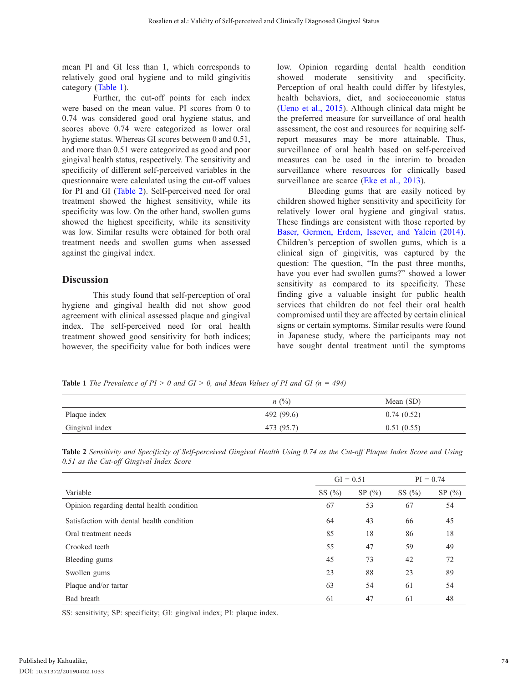mean PI and GI less than 1, which corresponds to relatively good oral hygiene and to mild gingivitis category (Table 1).

Further, the cut-off points for each index were based on the mean value. PI scores from 0 to 0.74 was considered good oral hygiene status, and scores above 0.74 were categorized as lower oral hygiene status. Whereas GI scores between 0 and 0.51, and more than 0.51 were categorized as good and poor gingival health status, respectively. The sensitivity and specificity of different self-perceived variables in the questionnaire were calculated using the cut-off values for PI and GI (Table 2). Self-perceived need for oral treatment showed the highest sensitivity, while its specificity was low. On the other hand, swollen gums showed the highest specificity, while its sensitivity was low. Similar results were obtained for both oral treatment needs and swollen gums when assessed against the gingival index.

# **Discussion**

This study found that self-perception of oral hygiene and gingival health did not show good agreement with clinical assessed plaque and gingival index. The self-perceived need for oral health treatment showed good sensitivity for both indices; however, the specificity value for both indices were

low. Opinion regarding dental health condition showed moderate sensitivity and specificity. Perception of oral health could differ by lifestyles, health behaviors, diet, and socioeconomic status ([Ueno et al., 2015\)](#page-5-0). Although clinical data might be the preferred measure for surveillance of oral health assessment, the cost and resources for acquiring selfreport measures may be more attainable. Thus, surveillance of oral health based on self-perceived measures can be used in the interim to broaden surveillance where resources for clinically based surveillance are scarce [\(Eke et al., 2013](#page-4-0)).

Bleeding gums that are easily noticed by children showed higher sensitivity and specificity for relatively lower oral hygiene and gingival status. These findings are consistent with those reported by [Baser, Germen, Erdem, Issever, and Yalcin \(2014\).](#page-4-0) Children's perception of swollen gums, which is a clinical sign of gingivitis, was captured by the question: The question, "In the past three months, have you ever had swollen gums?" showed a lower sensitivity as compared to its specificity. These finding give a valuable insight for public health services that children do not feel their oral health compromised until they are affected by certain clinical signs or certain symptoms. Similar results were found in Japanese study, where the participants may not have sought dental treatment until the symptoms

**Table 1** *The Prevalence of PI > 0 and GI > 0, and Mean Values of PI and GI (n = 494)* 

|                | $n \ (\%)$ | Mean (SD)  |
|----------------|------------|------------|
| Plaque index   | 492 (99.6) | 0.74(0.52) |
| Gingival index | 473 (95.7) | 0.51(0.55) |

| Table 2 Sensitivity and Specificity of Self-perceived Gingival Health Using 0.74 as the Cut-off Plaque Index Score and Using |  |  |  |  |  |  |
|------------------------------------------------------------------------------------------------------------------------------|--|--|--|--|--|--|
| 0.51 as the Cut-off Gingival Index Score                                                                                     |  |  |  |  |  |  |

|                                           | $GI = 0.51$ |           | $PI = 0.74$ |       |  |
|-------------------------------------------|-------------|-----------|-------------|-------|--|
| Variable                                  | SS $(\%)$   | SP $(\%)$ | SS $(\%)$   | SP(%) |  |
| Opinion regarding dental health condition | 67          | 53        | 67          | 54    |  |
| Satisfaction with dental health condition | 64          | 43        | 66          | 45    |  |
| Oral treatment needs                      | 85          | 18        | 86          | 18    |  |
| Crooked teeth                             | 55          | 47        | 59          | 49    |  |
| Bleeding gums                             | 45          | 73        | 42          | 72    |  |
| Swollen gums                              | 23          | 88        | 23          | 89    |  |
| Plaque and/or tartar                      | 63          | 54        | 61          | 54    |  |
| Bad breath                                | 61          | 47        | 61          | 48    |  |

SS: sensitivity; SP: specificity; GI: gingival index; PI: plaque index.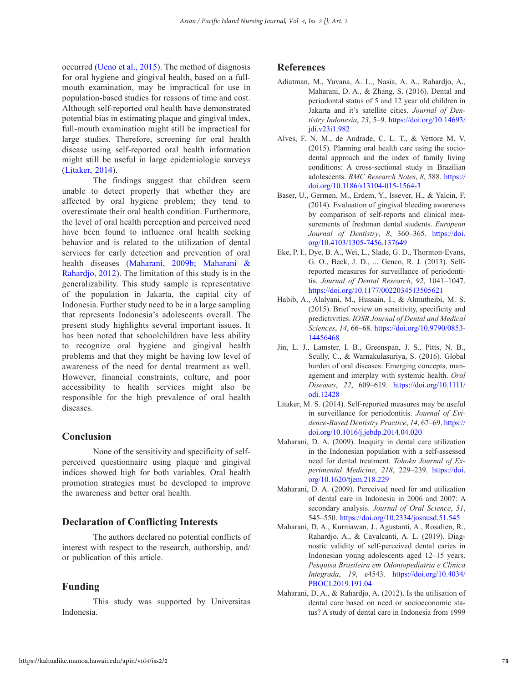<span id="page-4-0"></span>occurred [\(Ueno et al., 2015](#page-5-0)). The method of diagnosis for oral hygiene and gingival health, based on a fullmouth examination, may be impractical for use in population-based studies for reasons of time and cost. Although self-reported oral health have demonstrated potential bias in estimating plaque and gingival index, full-mouth examination might still be impractical for large studies. Therefore, screening for oral health disease using self-reported oral health information might still be useful in large epidemiologic surveys (Litaker, 2014).

The findings suggest that children seem unable to detect properly that whether they are affected by oral hygiene problem; they tend to overestimate their oral health condition. Furthermore, the level of oral health perception and perceived need have been found to influence oral health seeking behavior and is related to the utilization of dental services for early detection and prevention of oral health diseases (Maharani, 2009b; Maharani & Rahardjo, 2012). The limitation of this study is in the generalizability. This study sample is representative of the population in Jakarta, the capital city of Indonesia. Further study need to be in a large sampling that represents Indonesia's adolescents overall. The present study highlights several important issues. It has been noted that schoolchildren have less ability to recognize oral hygiene and gingival health problems and that they might be having low level of awareness of the need for dental treatment as well. However, financial constraints, culture, and poor accessibility to health services might also be responsible for the high prevalence of oral health diseases.

# **Conclusion**

None of the sensitivity and specificity of selfperceived questionnaire using plaque and gingival indices showed high for both variables. Oral health promotion strategies must be developed to improve the awareness and better oral health.

# **Declaration of Conflicting Interests**

The authors declared no potential conflicts of interest with respect to the research, authorship, and/ or publication of this article.

## **Funding**

This study was supported by Universitas Indonesia.

#### **References**

- Adiatman, M., Yuvana, A. L., Nasia, A. A., Rahardjo, A., Maharani, D. A., & Zhang, S. (2016). Dental and periodontal status of 5 and 12 year old children in Jakarta and it's satellite cities. *Journal of Dentistry Indonesia*, *23*, 5–9. [https://doi.org/10.14693/](https://doi.org/10.14693/jdi.v23i1.982) [jdi.v23i1.982](https://doi.org/10.14693/jdi.v23i1.982)
- Alves, F. N. M., de Andrade, C. L. T., & Vettore M. V. (2015). Planning oral health care using the sociodental approach and the index of family living conditions: A cross-sectional study in Brazilian adolescents. *BMC Research Notes*, *8*, 588. [https://](https://doi.org/10.1186/s13104-015-1564-3) [doi.org/10.1186/s13104-015-1564-3](https://doi.org/10.1186/s13104-015-1564-3)
- Baser, U., Germen, M., Erdem, Y., Issever, H., & Yalcin, F. (2014). Evaluation of gingival bleeding awareness by comparison of self-reports and clinical measurements of freshman dental students. *European Journal of Dentistry*, *8*, 360–365. [https://doi.](https://doi.org/10.4103/1305-7456.137649) [org/10.4103/1305-7456.137649](https://doi.org/10.4103/1305-7456.137649)
- Eke, P. I., Dye, B. A., Wei, L., Slade, G. D., Thornton-Evans, G. O., Beck, J. D., ... Genco, R. J. (2013). Selfreported measures for surveillance of periodontitis. *Journal of Dental Research*, *92*, 1041–1047. <https://doi.org/10.1177/0022034513505621>
- Habib, A., Alalyani, M., Hussain, I., & Almutheibi, M. S. (2015). Brief review on sensitivity, specificity and predictivities. *IOSR Journal of Dental and Medical Sciences*, *14*, 66–68. [https://doi.org/10.9790/0853-](https://doi.org/10.9790/0853-14456468) [14456468](https://doi.org/10.9790/0853-14456468)
- Jin, L. J., Lamster, I. B., Greenspan, J. S., Pitts, N. B., Scully, C., & Warnakulasuriya, S. (2016). Global burden of oral diseases: Emerging concepts, management and interplay with systemic health. *Oral Diseases*, *22*, 609–619. [https://doi.org/10.1111/](https://doi.org/10.1111/odi.12428) [odi.12428](https://doi.org/10.1111/odi.12428)
- Litaker, M. S. (2014). Self-reported measures may be useful in surveillance for periodontitis. *Journal of Evidence-Based Dentistry Practice*, *14*, 67–69. [https://](https://doi.org/10.1016/j.jebdp.2014.04.020) [doi.org/10.1016/j.jebdp.2014.04.020](https://doi.org/10.1016/j.jebdp.2014.04.020)
- Maharani, D. A. (2009). Inequity in dental care utilization in the Indonesian population with a self-assessed need for dental treatment. *Tohoku Journal of Experimental Medicine*, *218*, 229–239. [https://doi.](https://doi.org/10.1620/tjem.218.229) [org/10.1620/tjem.218.229](https://doi.org/10.1620/tjem.218.229)
- Maharani, D. A. (2009). Perceived need for and utilization of dental care in Indonesia in 2006 and 2007: A secondary analysis. *Journal of Oral Science*, *51*, 545–550. <https://doi.org/10.2334/josnusd.51.545>
- Maharani, D. A., Kurniawan, J., Agustanti, A., Rosalien, R., Rahardjo, A., & Cavalcanti, A. L. (2019). Diagnostic validity of self-perceived dental caries in Indonesian young adolescents aged 12–15 years. *Pesquisa Brasileira em Odontopediatria e Clinica Integrada*, *19*, e4543. [https://doi.org/10.4034/](https://doi.org/10.4034/PBOCI.2019.191.04) [PBOCI.2019.191.04](https://doi.org/10.4034/PBOCI.2019.191.04)
- Maharani, D. A., & Rahardjo, A. (2012). Is the utilisation of dental care based on need or socioeconomic status? A study of dental care in Indonesia from 1999